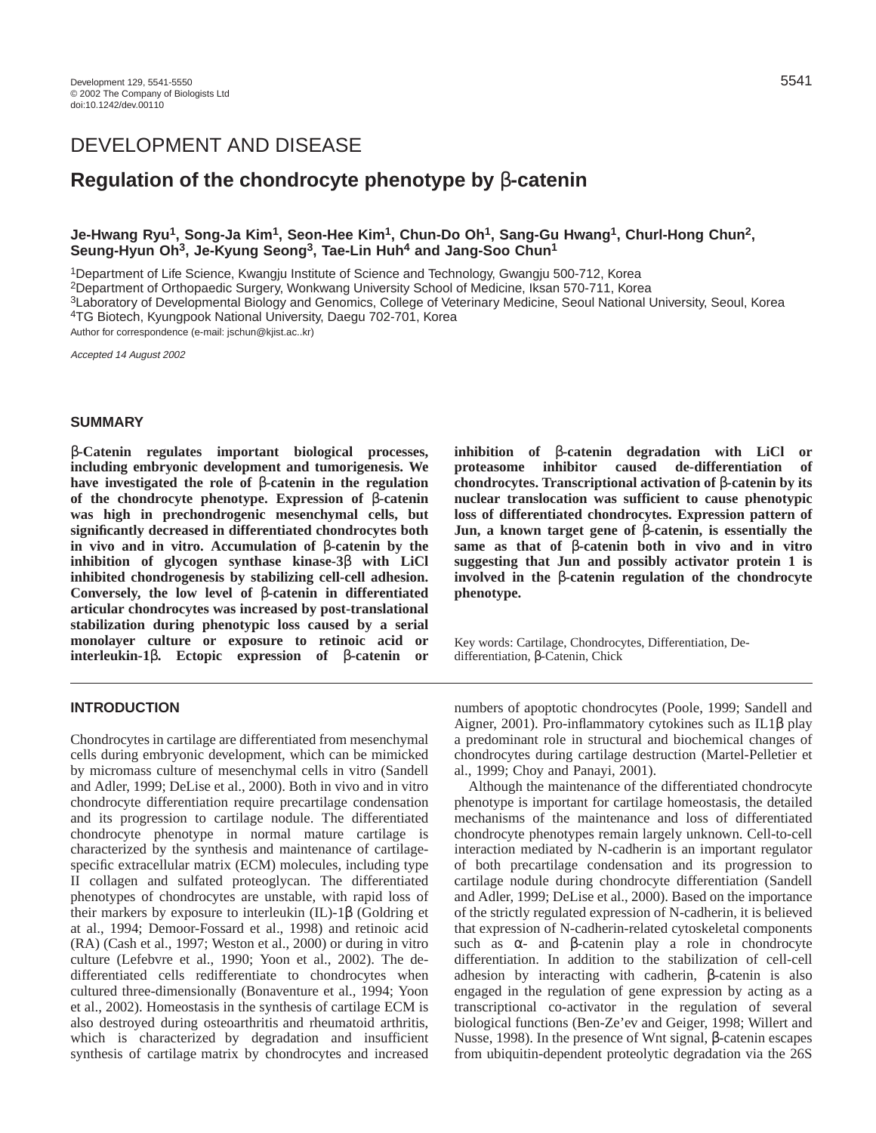# DEVELOPMENT AND DISEASE

# **Regulation of the chondrocyte phenotype by** β**-catenin**

# **Je-Hwang Ryu1, Song-Ja Kim1, Seon-Hee Kim1, Chun-Do Oh1, Sang-Gu Hwang1, Churl-Hong Chun2, Seung-Hyun Oh3, Je-Kyung Seong3, Tae-Lin Huh4 and Jang-Soo Chun1**

1Department of Life Science, Kwangju Institute of Science and Technology, Gwangju 500-712, Korea

2Department of Orthopaedic Surgery, Wonkwang University School of Medicine, Iksan 570-711, Korea

3Laboratory of Developmental Biology and Genomics, College of Veterinary Medicine, Seoul National University, Seoul, Korea 4TG Biotech, Kyungpook National University, Daegu 702-701, Korea

Author for correspondence (e-mail: jschun@kjist.ac..kr)

Accepted 14 August 2002

## **SUMMARY**

β**-Catenin regulates important biological processes, including embryonic development and tumorigenesis. We have investigated the role of** β**-catenin in the regulation of the chondrocyte phenotype. Expression of** β**-catenin was high in prechondrogenic mesenchymal cells, but significantly decreased in differentiated chondrocytes both in vivo and in vitro. Accumulation of** β**-catenin by the inhibition of glycogen synthase kinase-3**β **with LiCl inhibited chondrogenesis by stabilizing cell-cell adhesion. Conversely, the low level of** β**-catenin in differentiated articular chondrocytes was increased by post-translational stabilization during phenotypic loss caused by a serial monolayer culture or exposure to retinoic acid or interleukin-1**β**. Ectopic expression of** β**-catenin or**

# **INTRODUCTION**

Chondrocytes in cartilage are differentiated from mesenchymal cells during embryonic development, which can be mimicked by micromass culture of mesenchymal cells in vitro (Sandell and Adler, 1999; DeLise et al., 2000). Both in vivo and in vitro chondrocyte differentiation require precartilage condensation and its progression to cartilage nodule. The differentiated chondrocyte phenotype in normal mature cartilage is characterized by the synthesis and maintenance of cartilagespecific extracellular matrix (ECM) molecules, including type II collagen and sulfated proteoglycan. The differentiated phenotypes of chondrocytes are unstable, with rapid loss of their markers by exposure to interleukin (IL)-1β (Goldring et at al., 1994; Demoor-Fossard et al., 1998) and retinoic acid (RA) (Cash et al., 1997; Weston et al., 2000) or during in vitro culture (Lefebvre et al., 1990; Yoon et al., 2002). The dedifferentiated cells redifferentiate to chondrocytes when cultured three-dimensionally (Bonaventure et al., 1994; Yoon et al., 2002). Homeostasis in the synthesis of cartilage ECM is also destroyed during osteoarthritis and rheumatoid arthritis, which is characterized by degradation and insufficient synthesis of cartilage matrix by chondrocytes and increased

**inhibition of** β**-catenin degradation with LiCl or proteasome inhibitor caused de-differentiation of chondrocytes. Transcriptional activation of** β**-catenin by its nuclear translocation was sufficient to cause phenotypic loss of differentiated chondrocytes. Expression pattern of Jun, a known target gene of** β**-catenin, is essentially the same as that of** β**-catenin both in vivo and in vitro suggesting that Jun and possibly activator protein 1 is involved in the** β**-catenin regulation of the chondrocyte phenotype.** 

Key words: Cartilage, Chondrocytes, Differentiation, Dedifferentiation, β-Catenin, Chick

numbers of apoptotic chondrocytes (Poole, 1999; Sandell and Aigner, 2001). Pro-inflammatory cytokines such as IL1β play a predominant role in structural and biochemical changes of chondrocytes during cartilage destruction (Martel-Pelletier et al., 1999; Choy and Panayi, 2001).

Although the maintenance of the differentiated chondrocyte phenotype is important for cartilage homeostasis, the detailed mechanisms of the maintenance and loss of differentiated chondrocyte phenotypes remain largely unknown. Cell-to-cell interaction mediated by N-cadherin is an important regulator of both precartilage condensation and its progression to cartilage nodule during chondrocyte differentiation (Sandell and Adler, 1999; DeLise et al., 2000). Based on the importance of the strictly regulated expression of N-cadherin, it is believed that expression of N-cadherin-related cytoskeletal components such as  $\alpha$ - and  $\beta$ -catenin play a role in chondrocyte differentiation. In addition to the stabilization of cell-cell adhesion by interacting with cadherin, β-catenin is also engaged in the regulation of gene expression by acting as a transcriptional co-activator in the regulation of several biological functions (Ben-Ze'ev and Geiger, 1998; Willert and Nusse, 1998). In the presence of Wnt signal, β-catenin escapes from ubiquitin-dependent proteolytic degradation via the 26S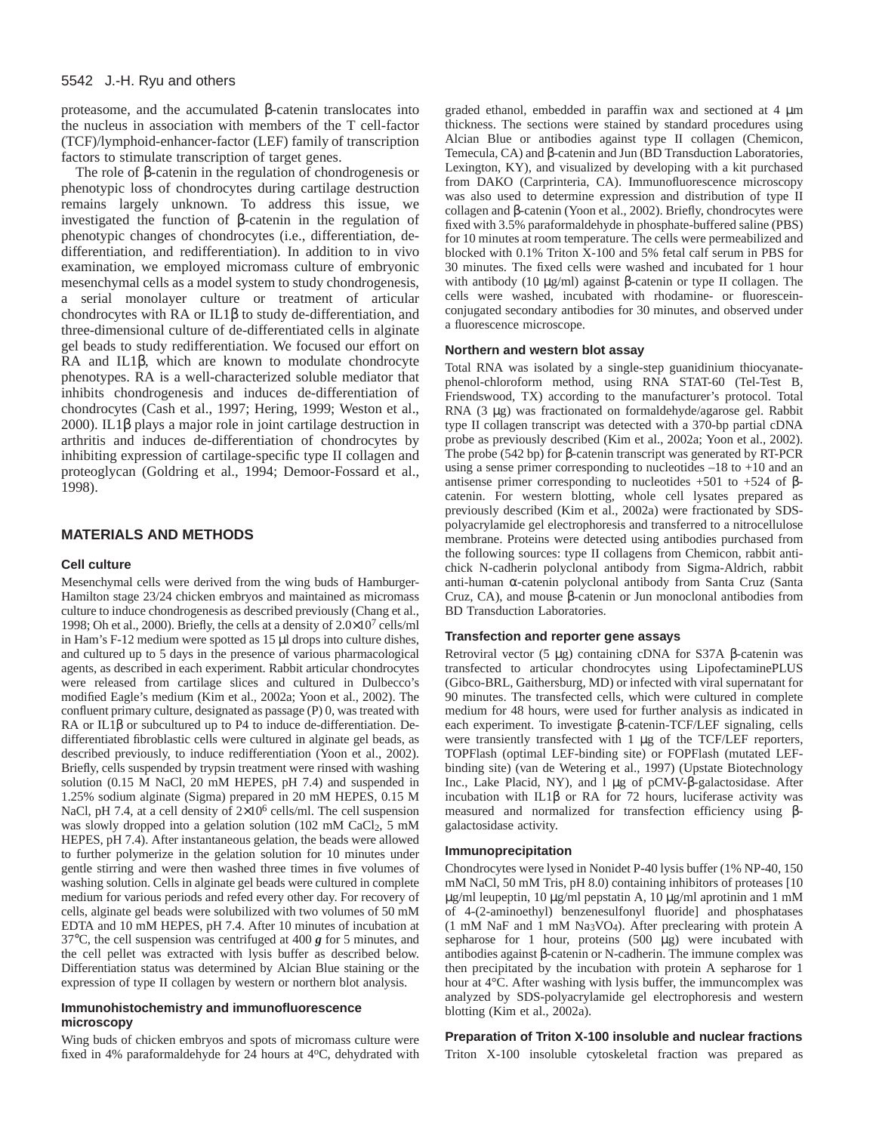proteasome, and the accumulated β-catenin translocates into the nucleus in association with members of the T cell-factor (TCF)/lymphoid-enhancer-factor (LEF) family of transcription factors to stimulate transcription of target genes.

The role of β-catenin in the regulation of chondrogenesis or phenotypic loss of chondrocytes during cartilage destruction remains largely unknown. To address this issue, we investigated the function of β-catenin in the regulation of phenotypic changes of chondrocytes (i.e., differentiation, dedifferentiation, and redifferentiation). In addition to in vivo examination, we employed micromass culture of embryonic mesenchymal cells as a model system to study chondrogenesis, a serial monolayer culture or treatment of articular chondrocytes with RA or IL1β to study de-differentiation, and three-dimensional culture of de-differentiated cells in alginate gel beads to study redifferentiation. We focused our effort on RA and IL1β, which are known to modulate chondrocyte phenotypes. RA is a well-characterized soluble mediator that inhibits chondrogenesis and induces de-differentiation of chondrocytes (Cash et al., 1997; Hering, 1999; Weston et al., 2000). IL1β plays a major role in joint cartilage destruction in arthritis and induces de-differentiation of chondrocytes by inhibiting expression of cartilage-specific type II collagen and proteoglycan (Goldring et al., 1994; Demoor-Fossard et al., 1998).

# **MATERIALS AND METHODS**

#### **Cell culture**

Mesenchymal cells were derived from the wing buds of Hamburger-Hamilton stage 23/24 chicken embryos and maintained as micromass culture to induce chondrogenesis as described previously (Chang et al., 1998; Oh et al., 2000). Briefly, the cells at a density of  $2.0 \times 10^{7}$  cells/ml in Ham's  $F-12$  medium were spotted as  $15 \mu l$  drops into culture dishes, and cultured up to 5 days in the presence of various pharmacological agents, as described in each experiment. Rabbit articular chondrocytes were released from cartilage slices and cultured in Dulbecco's modified Eagle's medium (Kim et al., 2002a; Yoon et al., 2002). The confluent primary culture, designated as passage (P) 0, was treated with RA or IL1β or subcultured up to P4 to induce de-differentiation. Dedifferentiated fibroblastic cells were cultured in alginate gel beads, as described previously, to induce redifferentiation (Yoon et al., 2002). Briefly, cells suspended by trypsin treatment were rinsed with washing solution (0.15 M NaCl, 20 mM HEPES, pH 7.4) and suspended in 1.25% sodium alginate (Sigma) prepared in 20 mM HEPES, 0.15 M NaCl, pH 7.4, at a cell density of  $2\times10^6$  cells/ml. The cell suspension was slowly dropped into a gelation solution (102 mM CaCl<sub>2</sub>, 5 mM HEPES, pH 7.4). After instantaneous gelation, the beads were allowed to further polymerize in the gelation solution for 10 minutes under gentle stirring and were then washed three times in five volumes of washing solution. Cells in alginate gel beads were cultured in complete medium for various periods and refed every other day. For recovery of cells, alginate gel beads were solubilized with two volumes of 50 mM EDTA and 10 mM HEPES, pH 7.4. After 10 minutes of incubation at 37°C, the cell suspension was centrifuged at 400 *g* for 5 minutes, and the cell pellet was extracted with lysis buffer as described below. Differentiation status was determined by Alcian Blue staining or the expression of type II collagen by western or northern blot analysis.

#### **Immunohistochemistry and immunofluorescence microscopy**

Wing buds of chicken embryos and spots of micromass culture were fixed in 4% paraformaldehyde for 24 hours at 4°C, dehydrated with

graded ethanol, embedded in paraffin wax and sectioned at 4 µm thickness. The sections were stained by standard procedures using Alcian Blue or antibodies against type II collagen (Chemicon, Temecula, CA) and β-catenin and Jun (BD Transduction Laboratories, Lexington, KY), and visualized by developing with a kit purchased from DAKO (Carprinteria, CA). Immunofluorescence microscopy was also used to determine expression and distribution of type II collagen and β-catenin (Yoon et al., 2002). Briefly, chondrocytes were fixed with 3.5% paraformaldehyde in phosphate-buffered saline (PBS) for 10 minutes at room temperature. The cells were permeabilized and blocked with 0.1% Triton X-100 and 5% fetal calf serum in PBS for 30 minutes. The fixed cells were washed and incubated for 1 hour with antibody (10 µg/ml) against β-catenin or type II collagen. The cells were washed, incubated with rhodamine- or fluoresceinconjugated secondary antibodies for 30 minutes, and observed under a fluorescence microscope.

#### **Northern and western blot assay**

Total RNA was isolated by a single-step guanidinium thiocyanatephenol-chloroform method, using RNA STAT-60 (Tel-Test B, Friendswood, TX) according to the manufacturer's protocol. Total RNA (3 µg) was fractionated on formaldehyde/agarose gel. Rabbit type II collagen transcript was detected with a 370-bp partial cDNA probe as previously described (Kim et al., 2002a; Yoon et al., 2002). The probe (542 bp) for β-catenin transcript was generated by RT-PCR using a sense primer corresponding to nucleotides  $-18$  to  $+10$  and an antisense primer corresponding to nucleotides  $+501$  to  $+524$  of βcatenin. For western blotting, whole cell lysates prepared as previously described (Kim et al., 2002a) were fractionated by SDSpolyacrylamide gel electrophoresis and transferred to a nitrocellulose membrane. Proteins were detected using antibodies purchased from the following sources: type II collagens from Chemicon, rabbit antichick N-cadherin polyclonal antibody from Sigma-Aldrich, rabbit anti-human α-catenin polyclonal antibody from Santa Cruz (Santa Cruz, CA), and mouse β-catenin or Jun monoclonal antibodies from BD Transduction Laboratories.

#### **Transfection and reporter gene assays**

Retroviral vector (5 µg) containing cDNA for S37A β-catenin was transfected to articular chondrocytes using LipofectaminePLUS (Gibco-BRL, Gaithersburg, MD) or infected with viral supernatant for 90 minutes. The transfected cells, which were cultured in complete medium for 48 hours, were used for further analysis as indicated in each experiment. To investigate β-catenin-TCF/LEF signaling, cells were transiently transfected with 1 µg of the TCF/LEF reporters, TOPFlash (optimal LEF-binding site) or FOPFlash (mutated LEFbinding site) (van de Wetering et al., 1997) (Upstate Biotechnology Inc., Lake Placid, NY), and l µg of pCMV-β-galactosidase. After incubation with IL1 $\beta$  or RA for 72 hours, luciferase activity was measured and normalized for transfection efficiency using βgalactosidase activity.

#### **Immunoprecipitation**

Chondrocytes were lysed in Nonidet P-40 lysis buffer (1% NP-40, 150 mM NaCl, 50 mM Tris, pH 8.0) containing inhibitors of proteases [10 µg/ml leupeptin, 10 µg/ml pepstatin A, 10 µg/ml aprotinin and 1 mM of 4-(2-aminoethyl) benzenesulfonyl fluoride] and phosphatases (1 mM NaF and 1 mM Na3VO4). After preclearing with protein A sepharose for 1 hour, proteins  $(500 \text{ µg})$  were incubated with antibodies against β-catenin or N-cadherin. The immune complex was then precipitated by the incubation with protein A sepharose for 1 hour at 4°C. After washing with lysis buffer, the immuncomplex was analyzed by SDS-polyacrylamide gel electrophoresis and western blotting (Kim et al., 2002a).

#### **Preparation of Triton X-100 insoluble and nuclear fractions**

Triton X-100 insoluble cytoskeletal fraction was prepared as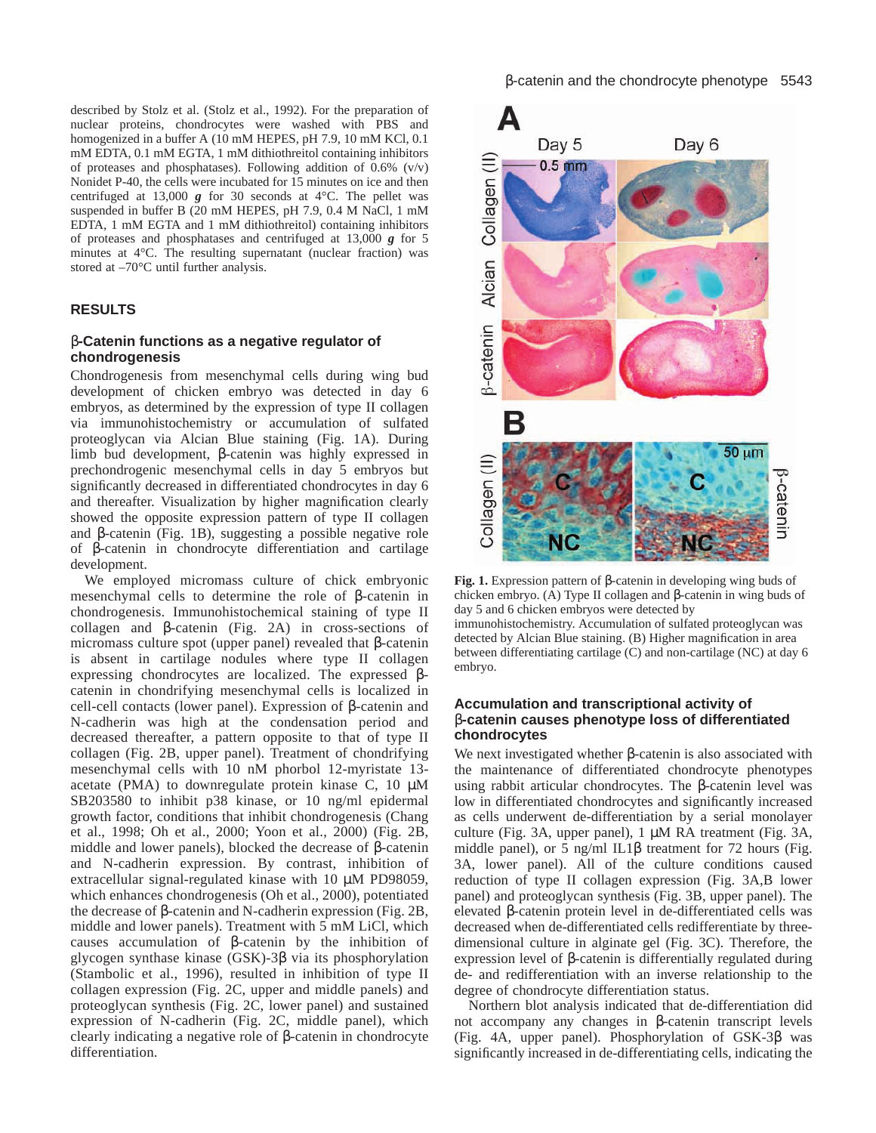described by Stolz et al. (Stolz et al., 1992). For the preparation of nuclear proteins, chondrocytes were washed with PBS and homogenized in a buffer A (10 mM HEPES, pH 7.9, 10 mM KCl, 0.1) mM EDTA, 0.1 mM EGTA, 1 mM dithiothreitol containing inhibitors of proteases and phosphatases). Following addition of  $0.6\%$  (v/v) Nonidet P-40, the cells were incubated for 15 minutes on ice and then centrifuged at 13,000  $g$  for 30 seconds at 4°C. The pellet was suspended in buffer B (20 mM HEPES, pH 7.9, 0.4 M NaCl, 1 mM EDTA, 1 mM EGTA and 1 mM dithiothreitol) containing inhibitors of proteases and phosphatases and centrifuged at 13,000 *g* for 5 minutes at 4°C. The resulting supernatant (nuclear fraction) was stored at –70°C until further analysis.

# **RESULTS**

# β**-Catenin functions as a negative regulator of chondrogenesis**

Chondrogenesis from mesenchymal cells during wing bud development of chicken embryo was detected in day 6 embryos, as determined by the expression of type II collagen via immunohistochemistry or accumulation of sulfated proteoglycan via Alcian Blue staining (Fig. 1A). During limb bud development, β-catenin was highly expressed in prechondrogenic mesenchymal cells in day 5 embryos but significantly decreased in differentiated chondrocytes in day 6 and thereafter. Visualization by higher magnification clearly showed the opposite expression pattern of type II collagen and β-catenin (Fig. 1B), suggesting a possible negative role of β-catenin in chondrocyte differentiation and cartilage development.

We employed micromass culture of chick embryonic mesenchymal cells to determine the role of β-catenin in chondrogenesis. Immunohistochemical staining of type II collagen and β-catenin (Fig. 2A) in cross-sections of micromass culture spot (upper panel) revealed that β-catenin is absent in cartilage nodules where type II collagen expressing chondrocytes are localized. The expressed βcatenin in chondrifying mesenchymal cells is localized in cell-cell contacts (lower panel). Expression of β-catenin and N-cadherin was high at the condensation period and decreased thereafter, a pattern opposite to that of type II collagen (Fig. 2B, upper panel). Treatment of chondrifying mesenchymal cells with 10 nM phorbol 12-myristate 13 acetate (PMA) to downregulate protein kinase C,  $10 \mu$ M SB203580 to inhibit p38 kinase, or 10 ng/ml epidermal growth factor, conditions that inhibit chondrogenesis (Chang et al., 1998; Oh et al., 2000; Yoon et al., 2000) (Fig. 2B, middle and lower panels), blocked the decrease of β-catenin and N-cadherin expression. By contrast, inhibition of extracellular signal-regulated kinase with 10 µM PD98059, which enhances chondrogenesis (Oh et al., 2000), potentiated the decrease of β-catenin and N-cadherin expression (Fig. 2B, middle and lower panels). Treatment with 5 mM LiCl, which causes accumulation of β-catenin by the inhibition of glycogen synthase kinase (GSK)-3β via its phosphorylation (Stambolic et al., 1996), resulted in inhibition of type II collagen expression (Fig. 2C, upper and middle panels) and proteoglycan synthesis (Fig. 2C, lower panel) and sustained expression of N-cadherin (Fig. 2C, middle panel), which clearly indicating a negative role of β-catenin in chondrocyte differentiation.



**Fig. 1.** Expression pattern of β-catenin in developing wing buds of chicken embryo. (A) Type II collagen and β-catenin in wing buds of day 5 and 6 chicken embryos were detected by immunohistochemistry. Accumulation of sulfated proteoglycan was detected by Alcian Blue staining. (B) Higher magnification in area between differentiating cartilage (C) and non-cartilage (NC) at day 6 embryo.

# **Accumulation and transcriptional activity of** β**-catenin causes phenotype loss of differentiated chondrocytes**

We next investigated whether β-catenin is also associated with the maintenance of differentiated chondrocyte phenotypes using rabbit articular chondrocytes. The β-catenin level was low in differentiated chondrocytes and significantly increased as cells underwent de-differentiation by a serial monolayer culture (Fig. 3A, upper panel), 1 µM RA treatment (Fig. 3A, middle panel), or 5 ng/ml IL1 $\beta$  treatment for 72 hours (Fig. 3A, lower panel). All of the culture conditions caused reduction of type II collagen expression (Fig. 3A,B lower panel) and proteoglycan synthesis (Fig. 3B, upper panel). The elevated β-catenin protein level in de-differentiated cells was decreased when de-differentiated cells redifferentiate by threedimensional culture in alginate gel (Fig. 3C). Therefore, the expression level of β-catenin is differentially regulated during de- and redifferentiation with an inverse relationship to the degree of chondrocyte differentiation status.

Northern blot analysis indicated that de-differentiation did not accompany any changes in β-catenin transcript levels (Fig. 4A*,* upper panel). Phosphorylation of GSK-3β was significantly increased in de-differentiating cells, indicating the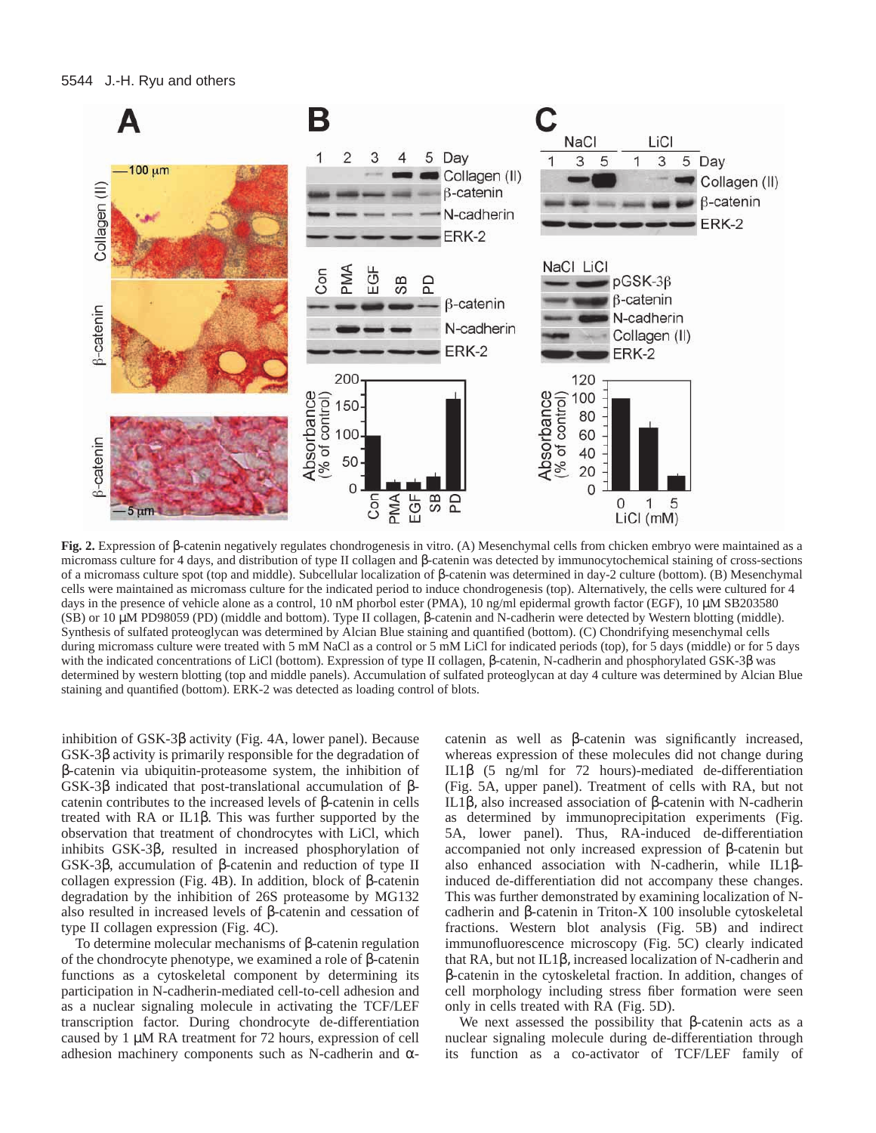

**Fig. 2.** Expression of β-catenin negatively regulates chondrogenesis in vitro. (A) Mesenchymal cells from chicken embryo were maintained as a micromass culture for 4 days, and distribution of type II collagen and β-catenin was detected by immunocytochemical staining of cross-sections of a micromass culture spot (top and middle). Subcellular localization of β-catenin was determined in day-2 culture (bottom). (B) Mesenchymal cells were maintained as micromass culture for the indicated period to induce chondrogenesis (top). Alternatively, the cells were cultured for 4 days in the presence of vehicle alone as a control, 10 nM phorbol ester (PMA), 10 ng/ml epidermal growth factor (EGF), 10 µM SB203580 (SB) or 10 µM PD98059 (PD) (middle and bottom). Type II collagen, β-catenin and N-cadherin were detected by Western blotting (middle). Synthesis of sulfated proteoglycan was determined by Alcian Blue staining and quantified (bottom). (C) Chondrifying mesenchymal cells during micromass culture were treated with 5 mM NaCl as a control or 5 mM LiCl for indicated periods (top), for 5 days (middle) or for 5 days with the indicated concentrations of LiCl (bottom). Expression of type II collagen, β-catenin, N-cadherin and phosphorylated GSK-3β was determined by western blotting (top and middle panels). Accumulation of sulfated proteoglycan at day 4 culture was determined by Alcian Blue staining and quantified (bottom). ERK-2 was detected as loading control of blots.

inhibition of GSK-3β activity (Fig. 4A, lower panel). Because GSK-3β activity is primarily responsible for the degradation of β-catenin via ubiquitin-proteasome system, the inhibition of GSK-3β indicated that post-translational accumulation of βcatenin contributes to the increased levels of β-catenin in cells treated with RA or IL1β. This was further supported by the observation that treatment of chondrocytes with LiCl, which inhibits GSK-3β, resulted in increased phosphorylation of GSK-3β, accumulation of β-catenin and reduction of type II collagen expression (Fig. 4B). In addition, block of β-catenin degradation by the inhibition of 26S proteasome by MG132 also resulted in increased levels of β-catenin and cessation of type II collagen expression (Fig. 4C).

To determine molecular mechanisms of β-catenin regulation of the chondrocyte phenotype, we examined a role of β-catenin functions as a cytoskeletal component by determining its participation in N-cadherin-mediated cell-to-cell adhesion and as a nuclear signaling molecule in activating the TCF/LEF transcription factor. During chondrocyte de-differentiation caused by 1 µM RA treatment for 72 hours, expression of cell adhesion machinery components such as N-cadherin and α-

catenin as well as β-catenin was significantly increased, whereas expression of these molecules did not change during IL1β (5 ng/ml for 72 hours)-mediated de-differentiation (Fig. 5A, upper panel). Treatment of cells with RA, but not IL1β, also increased association of β-catenin with N-cadherin as determined by immunoprecipitation experiments (Fig. 5A, lower panel). Thus, RA-induced de-differentiation accompanied not only increased expression of β-catenin but also enhanced association with N-cadherin, while IL1βinduced de-differentiation did not accompany these changes. This was further demonstrated by examining localization of Ncadherin and β-catenin in Triton-X 100 insoluble cytoskeletal fractions. Western blot analysis (Fig. 5B) and indirect immunofluorescence microscopy (Fig. 5C) clearly indicated that RA, but not IL1β, increased localization of N-cadherin and β-catenin in the cytoskeletal fraction. In addition, changes of cell morphology including stress fiber formation were seen only in cells treated with RA (Fig. 5D).

We next assessed the possibility that β-catenin acts as a nuclear signaling molecule during de-differentiation through its function as a co-activator of TCF/LEF family of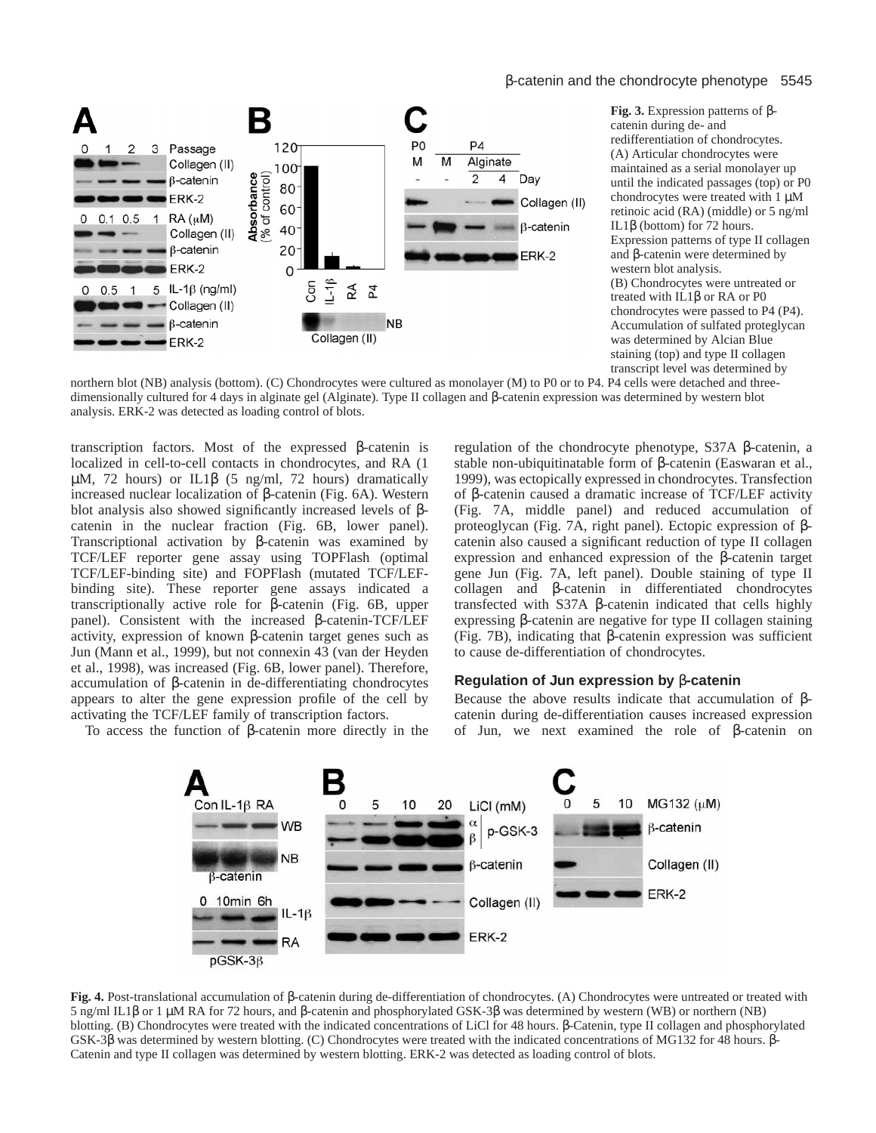## β-catenin and the chondrocyte phenotype 5545



**Fig. 3.** Expression patterns of βcatenin during de- and redifferentiation of chondrocytes. (A) Articular chondrocytes were maintained as a serial monolayer up until the indicated passages (top) or P0 chondrocytes were treated with 1 µM retinoic acid (RA) (middle) or 5 ng/ml IL1β (bottom) for 72 hours. Expression patterns of type II collagen and β-catenin were determined by western blot analysis. (B) Chondrocytes were untreated or treated with IL1β or RA or P0 chondrocytes were passed to P4 (P4). Accumulation of sulfated proteglycan was determined by Alcian Blue staining (top) and type II collagen transcript level was determined by

northern blot (NB) analysis (bottom). (C) Chondrocytes were cultured as monolayer (M) to P0 or to P4. P4 cells were detached and threedimensionally cultured for 4 days in alginate gel (Alginate). Type II collagen and β-catenin expression was determined by western blot analysis. ERK-2 was detected as loading control of blots.

transcription factors. Most of the expressed β-catenin is localized in cell-to-cell contacts in chondrocytes, and RA (1  $\mu$ M, 72 hours) or IL1 $\beta$  (5 ng/ml, 72 hours) dramatically increased nuclear localization of β-catenin (Fig. 6A). Western blot analysis also showed significantly increased levels of βcatenin in the nuclear fraction (Fig. 6B, lower panel). Transcriptional activation by β-catenin was examined by TCF/LEF reporter gene assay using TOPFlash (optimal TCF/LEF-binding site) and FOPFlash (mutated TCF/LEFbinding site). These reporter gene assays indicated a transcriptionally active role for β-catenin (Fig. 6B, upper panel). Consistent with the increased β-catenin-TCF/LEF activity, expression of known β-catenin target genes such as Jun (Mann et al., 1999), but not connexin 43 (van der Heyden et al., 1998), was increased (Fig. 6B, lower panel). Therefore, accumulation of β-catenin in de-differentiating chondrocytes appears to alter the gene expression profile of the cell by activating the TCF/LEF family of transcription factors.

To access the function of β-catenin more directly in the

regulation of the chondrocyte phenotype, S37A β-catenin, a stable non-ubiquitinatable form of β-catenin (Easwaran et al., 1999), was ectopically expressed in chondrocytes. Transfection of β-catenin caused a dramatic increase of TCF/LEF activity (Fig. 7A, middle panel) and reduced accumulation of proteoglycan (Fig. 7A, right panel). Ectopic expression of βcatenin also caused a significant reduction of type II collagen expression and enhanced expression of the β-catenin target gene Jun (Fig. 7A, left panel). Double staining of type II collagen and β-catenin in differentiated chondrocytes transfected with S37A β-catenin indicated that cells highly expressing β-catenin are negative for type II collagen staining (Fig. 7B), indicating that β-catenin expression was sufficient to cause de-differentiation of chondrocytes.

## **Regulation of Jun expression by** β**-catenin**

Because the above results indicate that accumulation of βcatenin during de-differentiation causes increased expression of Jun, we next examined the role of β-catenin on



**Fig. 4.** Post-translational accumulation of β-catenin during de-differentiation of chondrocytes. (A) Chondrocytes were untreated or treated with 5 ng/ml IL1β or 1 µM RA for 72 hours, and β-catenin and phosphorylated GSK-3β was determined by western (WB) or northern (NB) blotting. (B) Chondrocytes were treated with the indicated concentrations of LiCl for 48 hours. β-Catenin, type II collagen and phosphorylated GSK-3β was determined by western blotting. (C) Chondrocytes were treated with the indicated concentrations of MG132 for 48 hours. β-Catenin and type II collagen was determined by western blotting. ERK-2 was detected as loading control of blots.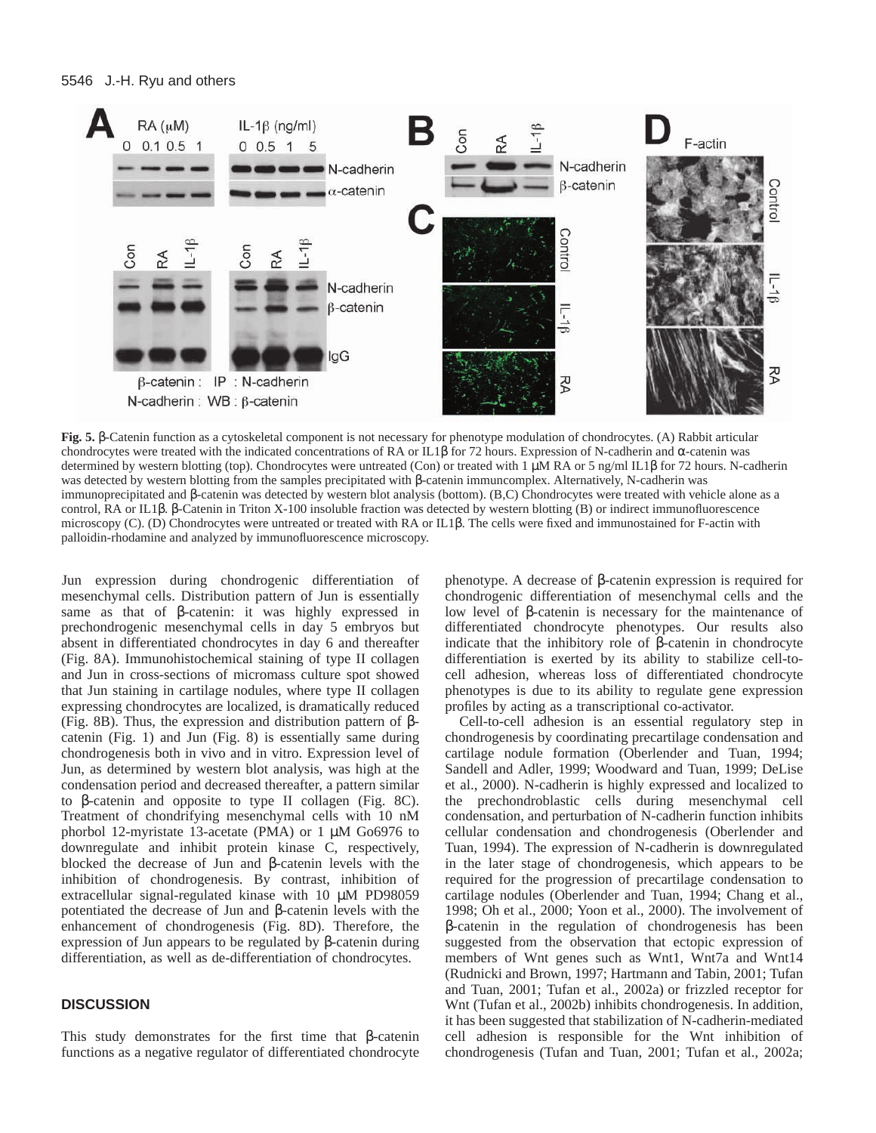

**Fig. 5.** β-Catenin function as a cytoskeletal component is not necessary for phenotype modulation of chondrocytes. (A) Rabbit articular chondrocytes were treated with the indicated concentrations of RA or IL1β for 72 hours. Expression of N-cadherin and α-catenin was determined by western blotting (top). Chondrocytes were untreated (Con) or treated with 1 µM RA or 5 ng/ml IL1β for 72 hours. N-cadherin was detected by western blotting from the samples precipitated with β-catenin immuncomplex. Alternatively, N-cadherin was immunoprecipitated and β-catenin was detected by western blot analysis (bottom). (B,C) Chondrocytes were treated with vehicle alone as a control, RA or IL1β. β-Catenin in Triton X-100 insoluble fraction was detected by western blotting (B) or indirect immunofluorescence microscopy (C). (D) Chondrocytes were untreated or treated with RA or IL1β. The cells were fixed and immunostained for F-actin with palloidin-rhodamine and analyzed by immunofluorescence microscopy.

Jun expression during chondrogenic differentiation of mesenchymal cells. Distribution pattern of Jun is essentially same as that of β-catenin: it was highly expressed in prechondrogenic mesenchymal cells in day 5 embryos but absent in differentiated chondrocytes in day 6 and thereafter (Fig. 8A). Immunohistochemical staining of type II collagen and Jun in cross-sections of micromass culture spot showed that Jun staining in cartilage nodules, where type II collagen expressing chondrocytes are localized, is dramatically reduced (Fig. 8B). Thus, the expression and distribution pattern of βcatenin (Fig. 1) and Jun (Fig. 8) is essentially same during chondrogenesis both in vivo and in vitro. Expression level of Jun, as determined by western blot analysis, was high at the condensation period and decreased thereafter, a pattern similar to β-catenin and opposite to type II collagen (Fig. 8C). Treatment of chondrifying mesenchymal cells with 10 nM phorbol 12-myristate 13-acetate (PMA) or 1 µM Go6976 to downregulate and inhibit protein kinase C, respectively, blocked the decrease of Jun and β-catenin levels with the inhibition of chondrogenesis. By contrast, inhibition of extracellular signal-regulated kinase with 10 µM PD98059 potentiated the decrease of Jun and β-catenin levels with the enhancement of chondrogenesis (Fig. 8D). Therefore, the expression of Jun appears to be regulated by β-catenin during differentiation, as well as de-differentiation of chondrocytes.

## **DISCUSSION**

This study demonstrates for the first time that β-catenin functions as a negative regulator of differentiated chondrocyte

phenotype. A decrease of β-catenin expression is required for chondrogenic differentiation of mesenchymal cells and the low level of β-catenin is necessary for the maintenance of differentiated chondrocyte phenotypes. Our results also indicate that the inhibitory role of β-catenin in chondrocyte differentiation is exerted by its ability to stabilize cell-tocell adhesion, whereas loss of differentiated chondrocyte phenotypes is due to its ability to regulate gene expression profiles by acting as a transcriptional co-activator.

Cell-to-cell adhesion is an essential regulatory step in chondrogenesis by coordinating precartilage condensation and cartilage nodule formation (Oberlender and Tuan, 1994; Sandell and Adler, 1999; Woodward and Tuan, 1999; DeLise et al., 2000). N-cadherin is highly expressed and localized to the prechondroblastic cells during mesenchymal cell condensation, and perturbation of N-cadherin function inhibits cellular condensation and chondrogenesis (Oberlender and Tuan, 1994). The expression of N-cadherin is downregulated in the later stage of chondrogenesis, which appears to be required for the progression of precartilage condensation to cartilage nodules (Oberlender and Tuan, 1994; Chang et al., 1998; Oh et al., 2000; Yoon et al., 2000). The involvement of β-catenin in the regulation of chondrogenesis has been suggested from the observation that ectopic expression of members of Wnt genes such as Wnt1, Wnt7a and Wnt14 (Rudnicki and Brown, 1997; Hartmann and Tabin, 2001; Tufan and Tuan, 2001; Tufan et al., 2002a) or frizzled receptor for Wnt (Tufan et al., 2002b) inhibits chondrogenesis. In addition, it has been suggested that stabilization of N-cadherin-mediated cell adhesion is responsible for the Wnt inhibition of chondrogenesis (Tufan and Tuan, 2001; Tufan et al., 2002a;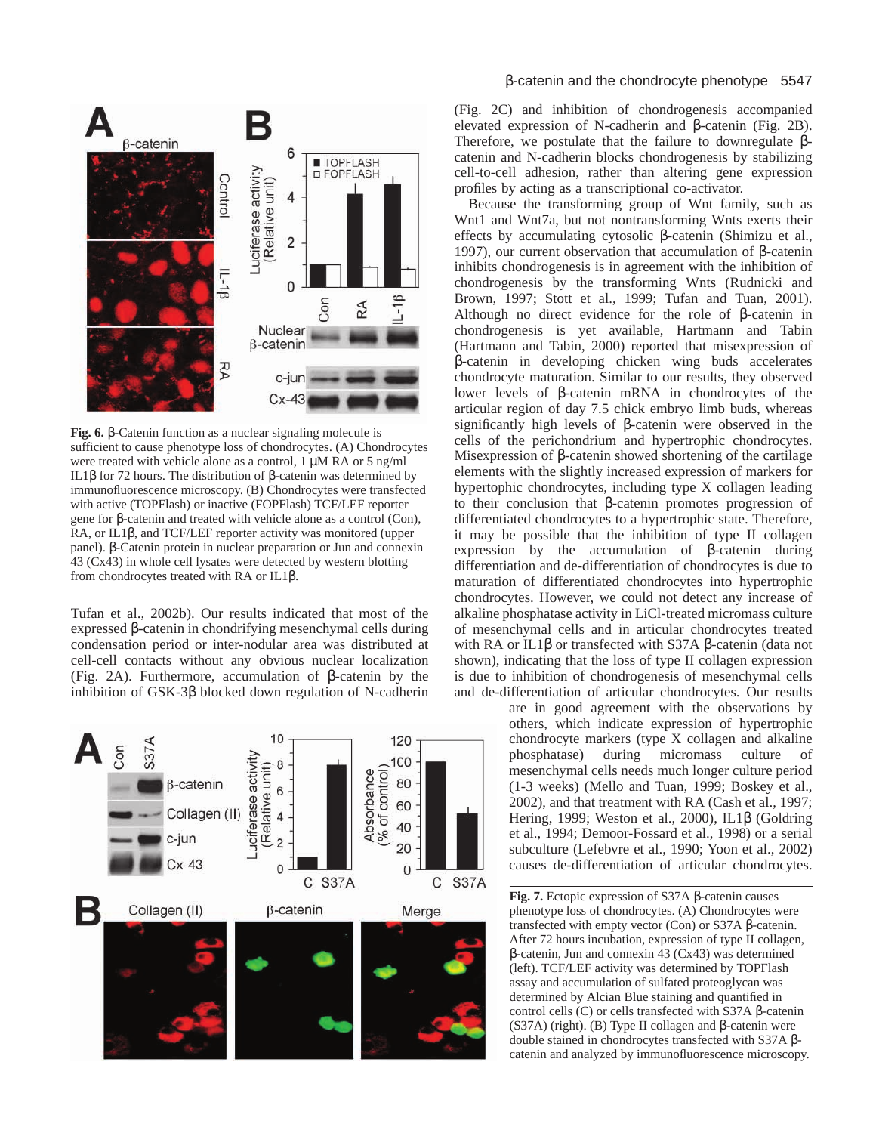

**Fig. 6.** β-Catenin function as a nuclear signaling molecule is sufficient to cause phenotype loss of chondrocytes. (A) Chondrocytes were treated with vehicle alone as a control, 1  $\mu$ M RA or 5 ng/ml IL1β for 72 hours. The distribution of β-catenin was determined by immunofluorescence microscopy. (B) Chondrocytes were transfected with active (TOPFlash) or inactive (FOPFlash) TCF/LEF reporter gene for β-catenin and treated with vehicle alone as a control (Con), RA, or IL1β, and TCF/LEF reporter activity was monitored (upper panel). β-Catenin protein in nuclear preparation or Jun and connexin 43 (Cx43) in whole cell lysates were detected by western blotting from chondrocytes treated with RA or IL1β.

Tufan et al., 2002b). Our results indicated that most of the expressed β-catenin in chondrifying mesenchymal cells during condensation period or inter-nodular area was distributed at cell-cell contacts without any obvious nuclear localization (Fig. 2A). Furthermore, accumulation of β-catenin by the inhibition of GSK-3β blocked down regulation of N-cadherin



## β-catenin and the chondrocyte phenotype 5547

(Fig. 2C) and inhibition of chondrogenesis accompanied elevated expression of N-cadherin and β-catenin (Fig. 2B). Therefore, we postulate that the failure to downregulate βcatenin and N-cadherin blocks chondrogenesis by stabilizing cell-to-cell adhesion, rather than altering gene expression profiles by acting as a transcriptional co-activator.

Because the transforming group of Wnt family, such as Wnt1 and Wnt7a, but not nontransforming Wnts exerts their effects by accumulating cytosolic β-catenin (Shimizu et al., 1997), our current observation that accumulation of β-catenin inhibits chondrogenesis is in agreement with the inhibition of chondrogenesis by the transforming Wnts (Rudnicki and Brown, 1997; Stott et al., 1999; Tufan and Tuan, 2001). Although no direct evidence for the role of β-catenin in chondrogenesis is yet available, Hartmann and Tabin (Hartmann and Tabin, 2000) reported that misexpression of β-catenin in developing chicken wing buds accelerates chondrocyte maturation. Similar to our results, they observed lower levels of β-catenin mRNA in chondrocytes of the articular region of day 7.5 chick embryo limb buds, whereas significantly high levels of β-catenin were observed in the cells of the perichondrium and hypertrophic chondrocytes. Misexpression of β-catenin showed shortening of the cartilage elements with the slightly increased expression of markers for hypertophic chondrocytes, including type X collagen leading to their conclusion that β-catenin promotes progression of differentiated chondrocytes to a hypertrophic state. Therefore, it may be possible that the inhibition of type II collagen expression by the accumulation of β-catenin during differentiation and de-differentiation of chondrocytes is due to maturation of differentiated chondrocytes into hypertrophic chondrocytes. However, we could not detect any increase of alkaline phosphatase activity in LiCl-treated micromass culture of mesenchymal cells and in articular chondrocytes treated with RA or IL1β or transfected with S37A β-catenin (data not shown), indicating that the loss of type II collagen expression is due to inhibition of chondrogenesis of mesenchymal cells and de-differentiation of articular chondrocytes. Our results

> are in good agreement with the observations by others, which indicate expression of hypertrophic chondrocyte markers (type X collagen and alkaline phosphatase) during micromass culture of mesenchymal cells needs much longer culture period (1-3 weeks) (Mello and Tuan, 1999; Boskey et al., 2002), and that treatment with RA (Cash et al., 1997; Hering, 1999; Weston et al., 2000), IL1β (Goldring et al., 1994; Demoor-Fossard et al., 1998) or a serial subculture (Lefebvre et al., 1990; Yoon et al., 2002) causes de-differentiation of articular chondrocytes.

**Fig. 7.** Ectopic expression of S37A β-catenin causes phenotype loss of chondrocytes. (A) Chondrocytes were transfected with empty vector (Con) or S37A β-catenin. After 72 hours incubation, expression of type II collagen, β-catenin, Jun and connexin 43 (Cx43) was determined (left). TCF/LEF activity was determined by TOPFlash assay and accumulation of sulfated proteoglycan was determined by Alcian Blue staining and quantified in control cells (C) or cells transfected with S37A β-catenin (S37A) (right). (B) Type II collagen and β-catenin were double stained in chondrocytes transfected with S37A βcatenin and analyzed by immunofluorescence microscopy.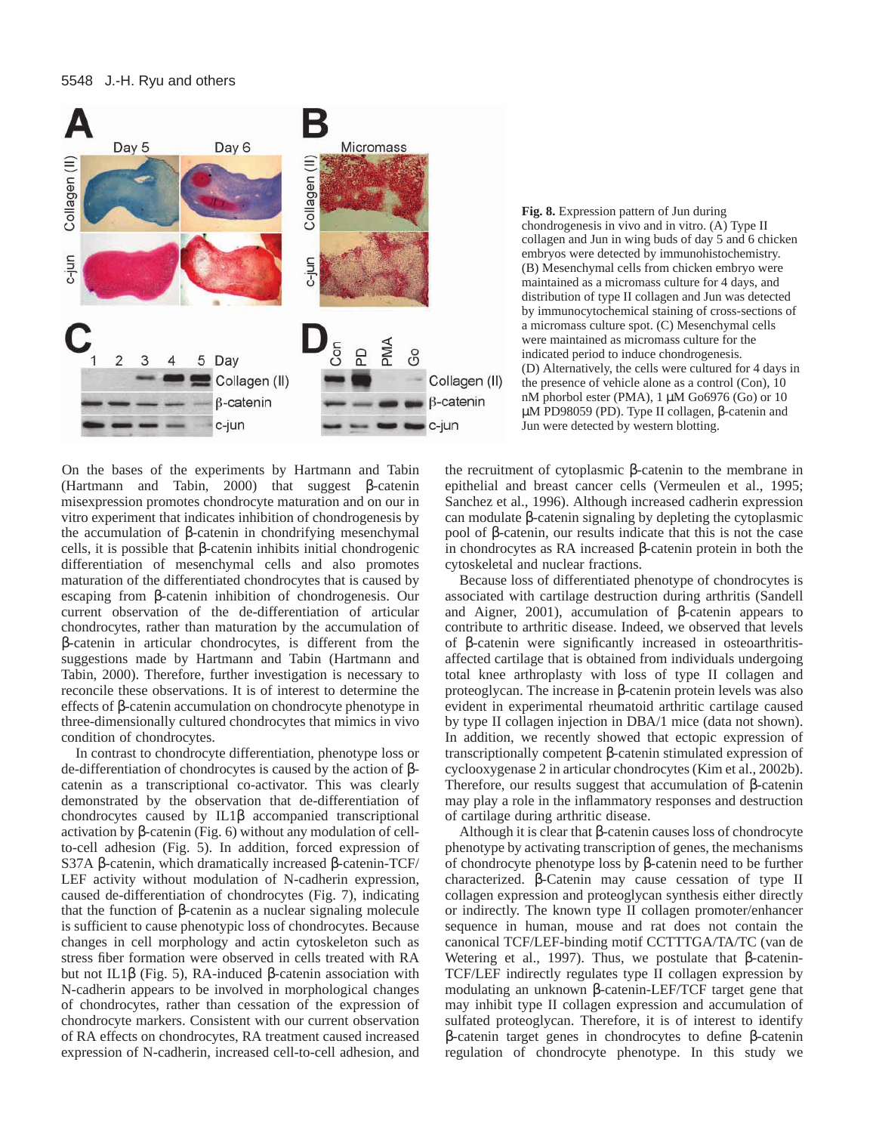## 5548 J.-H. Ryu and others



**Fig. 8.** Expression pattern of Jun during chondrogenesis in vivo and in vitro. (A) Type II collagen and Jun in wing buds of day 5 and 6 chicken embryos were detected by immunohistochemistry. (B) Mesenchymal cells from chicken embryo were maintained as a micromass culture for 4 days, and distribution of type II collagen and Jun was detected by immunocytochemical staining of cross-sections of a micromass culture spot. (C) Mesenchymal cells were maintained as micromass culture for the indicated period to induce chondrogenesis. (D) Alternatively, the cells were cultured for 4 days in the presence of vehicle alone as a control (Con), 10 nM phorbol ester (PMA), 1 µM Go6976 (Go) or 10 µM PD98059 (PD). Type II collagen, β-catenin and Jun were detected by western blotting.

On the bases of the experiments by Hartmann and Tabin (Hartmann and Tabin, 2000) that suggest β-catenin misexpression promotes chondrocyte maturation and on our in vitro experiment that indicates inhibition of chondrogenesis by the accumulation of β-catenin in chondrifying mesenchymal cells, it is possible that β-catenin inhibits initial chondrogenic differentiation of mesenchymal cells and also promotes maturation of the differentiated chondrocytes that is caused by escaping from β-catenin inhibition of chondrogenesis. Our current observation of the de-differentiation of articular chondrocytes, rather than maturation by the accumulation of β-catenin in articular chondrocytes, is different from the suggestions made by Hartmann and Tabin (Hartmann and Tabin, 2000). Therefore, further investigation is necessary to reconcile these observations. It is of interest to determine the effects of β-catenin accumulation on chondrocyte phenotype in three-dimensionally cultured chondrocytes that mimics in vivo condition of chondrocytes.

In contrast to chondrocyte differentiation, phenotype loss or de-differentiation of chondrocytes is caused by the action of βcatenin as a transcriptional co-activator. This was clearly demonstrated by the observation that de-differentiation of chondrocytes caused by IL1β accompanied transcriptional activation by β-catenin (Fig. 6) without any modulation of cellto-cell adhesion (Fig. 5). In addition, forced expression of S37A β-catenin, which dramatically increased β-catenin-TCF/ LEF activity without modulation of N-cadherin expression, caused de-differentiation of chondrocytes (Fig. 7), indicating that the function of β-catenin as a nuclear signaling molecule is sufficient to cause phenotypic loss of chondrocytes. Because changes in cell morphology and actin cytoskeleton such as stress fiber formation were observed in cells treated with RA but not IL1β (Fig. 5), RA-induced β-catenin association with N-cadherin appears to be involved in morphological changes of chondrocytes, rather than cessation of the expression of chondrocyte markers. Consistent with our current observation of RA effects on chondrocytes, RA treatment caused increased expression of N-cadherin, increased cell-to-cell adhesion, and the recruitment of cytoplasmic β-catenin to the membrane in epithelial and breast cancer cells (Vermeulen et al., 1995; Sanchez et al., 1996). Although increased cadherin expression can modulate β-catenin signaling by depleting the cytoplasmic pool of β-catenin, our results indicate that this is not the case in chondrocytes as RA increased β-catenin protein in both the cytoskeletal and nuclear fractions.

Because loss of differentiated phenotype of chondrocytes is associated with cartilage destruction during arthritis (Sandell and Aigner, 2001), accumulation of β-catenin appears to contribute to arthritic disease. Indeed, we observed that levels of β-catenin were significantly increased in osteoarthritisaffected cartilage that is obtained from individuals undergoing total knee arthroplasty with loss of type II collagen and proteoglycan. The increase in β-catenin protein levels was also evident in experimental rheumatoid arthritic cartilage caused by type II collagen injection in DBA/1 mice (data not shown). In addition, we recently showed that ectopic expression of transcriptionally competent β-catenin stimulated expression of cyclooxygenase 2 in articular chondrocytes (Kim et al., 2002b). Therefore, our results suggest that accumulation of β-catenin may play a role in the inflammatory responses and destruction of cartilage during arthritic disease.

Although it is clear that β-catenin causes loss of chondrocyte phenotype by activating transcription of genes, the mechanisms of chondrocyte phenotype loss by β-catenin need to be further characterized. β-Catenin may cause cessation of type II collagen expression and proteoglycan synthesis either directly or indirectly. The known type II collagen promoter/enhancer sequence in human, mouse and rat does not contain the canonical TCF/LEF-binding motif CCTTTGA/TA/TC (van de Wetering et al., 1997). Thus, we postulate that β-catenin-TCF/LEF indirectly regulates type II collagen expression by modulating an unknown β-catenin-LEF/TCF target gene that may inhibit type II collagen expression and accumulation of sulfated proteoglycan. Therefore, it is of interest to identify β-catenin target genes in chondrocytes to define β-catenin regulation of chondrocyte phenotype. In this study we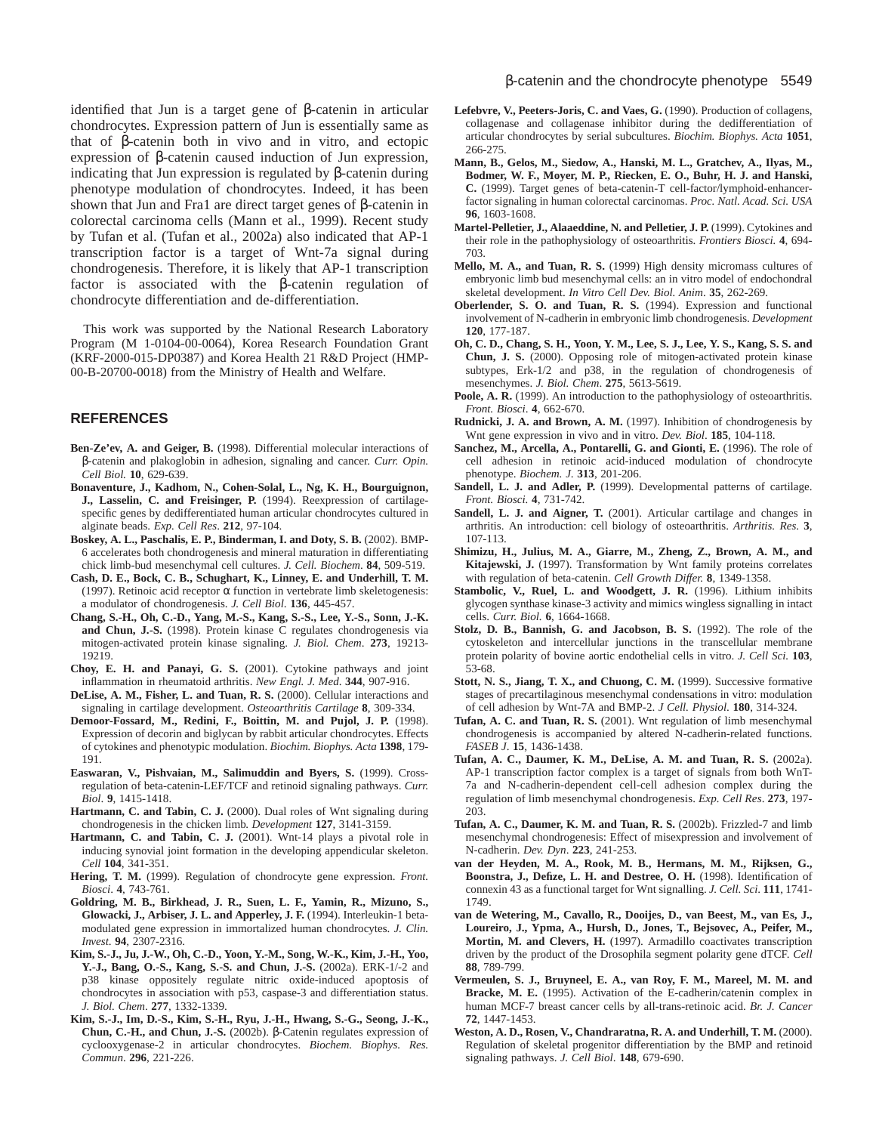identified that Jun is a target gene of β-catenin in articular chondrocytes. Expression pattern of Jun is essentially same as that of β-catenin both in vivo and in vitro, and ectopic expression of β-catenin caused induction of Jun expression, indicating that Jun expression is regulated by β-catenin during phenotype modulation of chondrocytes. Indeed, it has been shown that Jun and Fra1 are direct target genes of β-catenin in colorectal carcinoma cells (Mann et al., 1999). Recent study by Tufan et al. (Tufan et al., 2002a) also indicated that AP-1 transcription factor is a target of Wnt-7a signal during chondrogenesis. Therefore, it is likely that AP-1 transcription factor is associated with the β-catenin regulation of chondrocyte differentiation and de-differentiation.

This work was supported by the National Research Laboratory Program (M 1-0104-00-0064), Korea Research Foundation Grant (KRF-2000-015-DP0387) and Korea Health 21 R&D Project (HMP-00-B-20700-0018) from the Ministry of Health and Welfare.

## **REFERENCES**

- **Ben-Ze'ev, A. and Geiger, B.** (1998). Differential molecular interactions of β-catenin and plakoglobin in adhesion, signaling and cancer. *Curr. Opin. Cell Biol.* **10**, 629-639.
- **Bonaventure, J., Kadhom, N., Cohen-Solal, L., Ng, K. H., Bourguignon, J., Lasselin, C. and Freisinger, P.** (1994). Reexpression of cartilagespecific genes by dedifferentiated human articular chondrocytes cultured in alginate beads. *Exp. Cell Res*. **212**, 97-104.
- **Boskey, A. L., Paschalis, E. P., Binderman, I. and Doty, S. B.** (2002). BMP-6 accelerates both chondrogenesis and mineral maturation in differentiating chick limb-bud mesenchymal cell cultures. *J. Cell. Biochem*. **84**, 509-519.
- **Cash, D. E., Bock, C. B., Schughart, K., Linney, E. and Underhill, T. M.** (1997). Retinoic acid receptor  $\alpha$  function in vertebrate limb skeletogenesis: a modulator of chondrogenesis. *J. Cell Biol*. **136**, 445-457.
- **Chang, S.-H., Oh, C.-D., Yang, M.-S., Kang, S.-S., Lee, Y.-S., Sonn, J.-K. and Chun, J.-S.** (1998). Protein kinase C regulates chondrogenesis via mitogen-activated protein kinase signaling. *J. Biol. Chem*. **273**, 19213- 19219.
- **Choy, E. H. and Panayi, G. S.** (2001). Cytokine pathways and joint inflammation in rheumatoid arthritis. *New Engl. J. Med*. **344**, 907-916.
- **DeLise, A. M., Fisher, L. and Tuan, R. S.** (2000). Cellular interactions and signaling in cartilage development. *Osteoarthritis Cartilage* **8**, 309-334.
- **Demoor-Fossard, M., Redini, F., Boittin, M. and Pujol, J. P.** (1998). Expression of decorin and biglycan by rabbit articular chondrocytes. Effects of cytokines and phenotypic modulation. *Biochim. Biophys. Acta* **1398**, 179- 191.
- **Easwaran, V., Pishvaian, M., Salimuddin and Byers, S.** (1999). Crossregulation of beta-catenin-LEF/TCF and retinoid signaling pathways. *Curr. Biol*. **9**, 1415-1418.
- **Hartmann, C. and Tabin, C. J.** (2000). Dual roles of Wnt signaling during chondrogenesis in the chicken limb. *Development* **127**, 3141-3159.
- **Hartmann, C. and Tabin, C. J.** (2001). Wnt-14 plays a pivotal role in inducing synovial joint formation in the developing appendicular skeleton. *Cell* **104**, 341-351.
- **Hering, T. M.** (1999). Regulation of chondrocyte gene expression. *Front. Biosci*. **4**, 743-761.
- **Goldring, M. B., Birkhead, J. R., Suen, L. F., Yamin, R., Mizuno, S., Glowacki, J., Arbiser, J. L. and Apperley, J. F.** (1994). Interleukin-1 betamodulated gene expression in immortalized human chondrocytes. *J. Clin. Invest*. **94**, 2307-2316.
- **Kim, S.-J., Ju, J.-W., Oh, C.-D., Yoon, Y.-M., Song, W.-K., Kim, J.-H., Yoo, Y.-J., Bang, O.-S., Kang, S.-S. and Chun, J.-S.** (2002a). ERK-1/-2 and p38 kinase oppositely regulate nitric oxide-induced apoptosis of chondrocytes in association with p53, caspase-3 and differentiation status. *J. Biol. Chem*. **277**, 1332-1339.
- **Kim, S.-J., Im, D.-S., Kim, S.-H., Ryu, J.-H., Hwang, S.-G., Seong, J.-K., Chun, C.-H., and Chun, J.-S.** (2002b). β-Catenin regulates expression of cyclooxygenase-2 in articular chondrocytes. *Biochem. Biophys. Res. Commun*. **296**, 221-226.
- **Lefebvre, V., Peeters-Joris, C. and Vaes, G.** (1990). Production of collagens, collagenase and collagenase inhibitor during the dedifferentiation of articular chondrocytes by serial subcultures. *Biochim. Biophys. Acta* **1051**, 266-275.
- **Mann, B., Gelos, M., Siedow, A., Hanski, M. L., Gratchev, A., Ilyas, M., Bodmer, W. F., Moyer, M. P., Riecken, E. O., Buhr, H. J. and Hanski, C.** (1999). Target genes of beta-catenin-T cell-factor/lymphoid-enhancerfactor signaling in human colorectal carcinomas. *Proc. Natl. Acad. Sci. USA* **96**, 1603-1608.
- **Martel-Pelletier, J., Alaaeddine, N. and Pelletier, J. P.** (1999). Cytokines and their role in the pathophysiology of osteoarthritis. *Frontiers Biosci.* **4**, 694- 703.
- **Mello, M. A., and Tuan, R. S.** (1999) High density micromass cultures of embryonic limb bud mesenchymal cells: an in vitro model of endochondral skeletal development. *In Vitro Cell Dev. Biol. Anim*. **35**, 262-269.
- **Oberlender, S. O. and Tuan, R. S.** (1994). Expression and functional involvement of N-cadherin in embryonic limb chondrogenesis. *Development* **120**, 177-187.
- **Oh, C. D., Chang, S. H., Yoon, Y. M., Lee, S. J., Lee, Y. S., Kang, S. S. and Chun, J. S.** (2000). Opposing role of mitogen-activated protein kinase subtypes, Erk-1/2 and p38, in the regulation of chondrogenesis of mesenchymes. *J. Biol. Chem*. **275**, 5613-5619.
- Poole, A. R. (1999). An introduction to the pathophysiology of osteoarthritis. *Front. Biosci*. **4**, 662-670.
- **Rudnicki, J. A. and Brown, A. M.** (1997). Inhibition of chondrogenesis by Wnt gene expression in vivo and in vitro. *Dev. Biol*. **185**, 104-118.
- **Sanchez, M., Arcella, A., Pontarelli, G. and Gionti, E.** (1996). The role of cell adhesion in retinoic acid-induced modulation of chondrocyte phenotype. *Biochem. J*. **313**, 201-206.
- Sandell, L. J. and Adler, P. (1999). Developmental patterns of cartilage. *Front. Biosci.* **4**, 731-742.
- **Sandell, L. J. and Aigner, T.** (2001). Articular cartilage and changes in arthritis. An introduction: cell biology of osteoarthritis. *Arthritis. Res*. **3**, 107-113.
- **Shimizu, H., Julius, M. A., Giarre, M., Zheng, Z., Brown, A. M., and Kitajewski, J.** (1997). Transformation by Wnt family proteins correlates with regulation of beta-catenin. *Cell Growth Differ.* **8**, 1349-1358.
- **Stambolic, V., Ruel, L. and Woodgett, J. R.** (1996). Lithium inhibits glycogen synthase kinase-3 activity and mimics wingless signalling in intact cells. *Curr. Biol.* **6**, 1664-1668.
- **Stolz, D. B., Bannish, G. and Jacobson, B. S.** (1992). The role of the cytoskeleton and intercellular junctions in the transcellular membrane protein polarity of bovine aortic endothelial cells in vitro. *J. Cell Sci.* **103**, 53-68.
- **Stott, N. S., Jiang, T. X., and Chuong, C. M.** (1999). Successive formative stages of precartilaginous mesenchymal condensations in vitro: modulation of cell adhesion by Wnt-7A and BMP-2. *J Cell. Physiol*. **180**, 314-324.
- **Tufan, A. C. and Tuan, R. S.** (2001). Wnt regulation of limb mesenchymal chondrogenesis is accompanied by altered N-cadherin-related functions. *FASEB J*. **15**, 1436-1438.
- **Tufan, A. C., Daumer, K. M., DeLise, A. M. and Tuan, R. S.** (2002a). AP-1 transcription factor complex is a target of signals from both WnT-7a and N-cadherin-dependent cell-cell adhesion complex during the regulation of limb mesenchymal chondrogenesis. *Exp. Cell Res*. **273**, 197- 203.
- **Tufan, A. C., Daumer, K. M. and Tuan, R. S.** (2002b). Frizzled-7 and limb mesenchymal chondrogenesis: Effect of misexpression and involvement of N-cadherin. *Dev. Dyn*. **223**, 241-253.
- **van der Heyden, M. A., Rook, M. B., Hermans, M. M., Rijksen, G., Boonstra, J., Defize, L. H. and Destree, O. H.** (1998). Identification of connexin 43 as a functional target for Wnt signalling. *J. Cell. Sci*. **111**, 1741- 1749.
- **van de Wetering, M., Cavallo, R., Dooijes, D., van Beest, M., van Es, J., Loureiro, J., Ypma, A., Hursh, D., Jones, T., Bejsovec, A., Peifer, M.,** Mortin, M. and Clevers, H. (1997). Armadillo coactivates transcription driven by the product of the Drosophila segment polarity gene dTCF. *Cell* **88**, 789-799.
- **Vermeulen, S. J., Bruyneel, E. A., van Roy, F. M., Mareel, M. M. and Bracke, M. E.** (1995). Activation of the E-cadherin/catenin complex in human MCF-7 breast cancer cells by all-trans-retinoic acid. *Br. J. Cancer* **72**, 1447-1453.
- **Weston, A. D., Rosen, V., Chandraratna, R. A. and Underhill, T. M.** (2000). Regulation of skeletal progenitor differentiation by the BMP and retinoid signaling pathways. *J. Cell Biol*. **148**, 679-690.